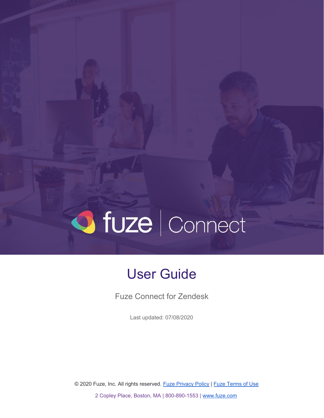# O fuze | Connect

# User Guide

Fuze Connect for Zendesk

Last updated: 07/08/2020

© 2020 Fuze, Inc. All rights reserved. Fuze [Privacy](https://www.fuze.com/fuze-privacy-policy) Policy | Fuze [Terms](https://www.fuze.com/legal) of Use

2 Copley Place, Boston, MA | 800-890-1553 | [www.fuze.com](http://www.fuze.com/)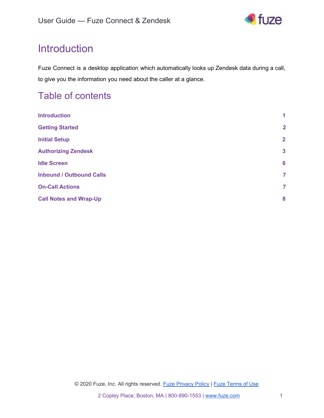

# <span id="page-1-0"></span>**Introduction**

Fuze Connect is a desktop application which automatically looks up Zendesk data during a call, to give you the information you need about the caller at a glance.

### Table of contents

| <b>Introduction</b>             | 1              |
|---------------------------------|----------------|
| <b>Getting Started</b>          | $\overline{2}$ |
| <b>Initial Setup</b>            | $\overline{2}$ |
| <b>Authorizing Zendesk</b>      | $\mathbf{3}$   |
| <b>Idle Screen</b>              | 6              |
| <b>Inbound / Outbound Calls</b> | $\overline{7}$ |
| <b>On-Call Actions</b>          | $\overline{7}$ |
| <b>Call Notes and Wrap-Up</b>   | 8              |
|                                 |                |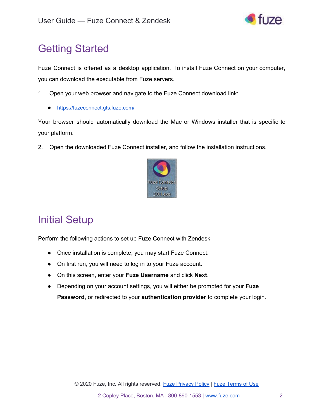

# <span id="page-2-0"></span>Getting Started

Fuze Connect is offered as a desktop application. To install Fuze Connect on your computer, you can download the executable from Fuze servers.

- 1. Open your web browser and navigate to the Fuze Connect download link:
	- <https://fuzeconnect.gts.fuze.com/>

Your browser should automatically download the Mac or Windows installer that is specific to your platform.

2. Open the downloaded Fuze Connect installer, and follow the installation instructions.



# <span id="page-2-1"></span>Initial Setup

Perform the following actions to set up Fuze Connect with Zendesk

- Once installation is complete, you may start Fuze Connect.
- On first run, you will need to log in to your Fuze account.
- On this screen, enter your **Fuze Username** and click **Next**.
- Depending on your account settings, you will either be prompted for your **Fuze Password**, or redirected to your **authentication provider** to complete your login.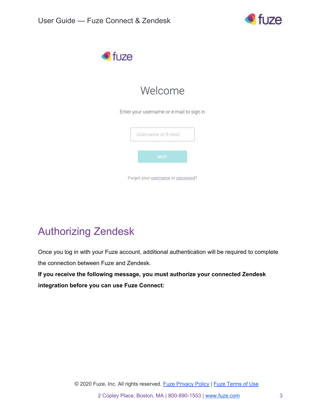



# Welcome

Enter your username or e-mail to sign in

| Username or E-mail |             |  |
|--------------------|-------------|--|
|                    | <b>NEXT</b> |  |
|                    |             |  |

# <span id="page-3-0"></span>Authorizing Zendesk

Once you log in with your Fuze account, additional authentication will be required to complete the connection between Fuze and Zendesk.

**If you receive the following message, you must authorize your connected Zendesk integration before you can use Fuze Connect:**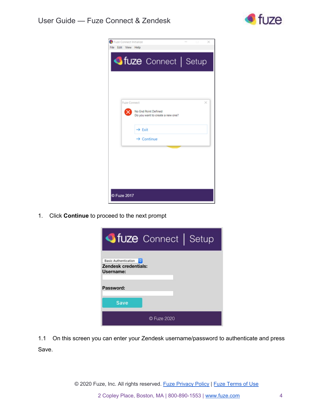

| Fuze Connect Initialize<br>Edit View Help<br>Film             |  | × |
|---------------------------------------------------------------|--|---|
| <b>ofuze</b> Connect   Setup                                  |  |   |
|                                                               |  |   |
| <b>Fuze Connect</b>                                           |  | × |
| No End Point Defined<br>×<br>Do you want to create a new one? |  |   |
| $\rightarrow$ Exit                                            |  |   |
| $\rightarrow$ Continue                                        |  |   |
|                                                               |  |   |
|                                                               |  |   |
| <b>D Fuze 2017</b>                                            |  |   |

1. Click **Continue** to proceed to the next prompt



1.1 On this screen you can enter your Zendesk username/password to authenticate and press Save.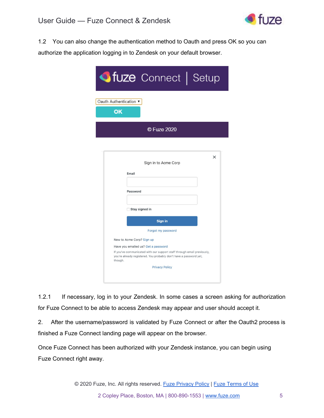

1.2 You can also change the authentication method to Oauth and press OK so you can authorize the application logging in to Zendesk on your default browser.

| <b>Ofuze</b> Connect   Setup                                                                                                                             |
|----------------------------------------------------------------------------------------------------------------------------------------------------------|
| Oauth Authentication ▼<br>OK                                                                                                                             |
| © Fuze 2020                                                                                                                                              |
|                                                                                                                                                          |
| $\times$<br>Sign in to Acme Corp<br>Email                                                                                                                |
| Password                                                                                                                                                 |
| Stay signed in                                                                                                                                           |
| <b>Sign in</b>                                                                                                                                           |
| Forgot my password                                                                                                                                       |
| New to Acme Corp? Sign up                                                                                                                                |
| Have you emailed us? Get a password                                                                                                                      |
| If you've communicated with our support staff through email previously,<br>you're already registered. You probably don't have a password yet,<br>though. |
| <b>Privacy Policy</b>                                                                                                                                    |
|                                                                                                                                                          |

1.2.1 If necessary, log in to your Zendesk. In some cases a screen asking for authorization for Fuze Connect to be able to access Zendesk may appear and user should accept it.

2. After the username/password is validated by Fuze Connect or after the Oauth2 process is finished a Fuze Connect landing page will appear on the browser.

Once Fuze Connect has been authorized with your Zendesk instance, you can begin using Fuze Connect right away.

© 2020 Fuze, Inc. All rights reserved. Fuze [Privacy](https://www.fuze.com/fuze-privacy-policy) Policy | Fuze [Terms](https://www.fuze.com/legal) of Use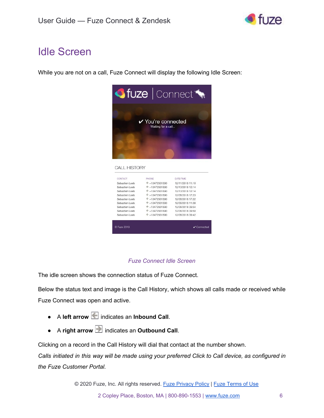

# <span id="page-6-0"></span>Idle Screen

While you are not on a call, Fuze Connect will display the following Idle Screen:



#### *Fuze Connect Idle Screen*

The idle screen shows the connection status of Fuze Connect.

Below the status text and image is the Call History, which shows all calls made or received while Fuze Connect was open and active.

- A **left arrow** indicates an **Inbound Call**.
- A **right arrow** indicates an **Outbound Call**.

Clicking on a record in the Call History will dial that contact at the number shown.

Calls initiated in this way will be made using your preferred Click to Call device, as configured in *the Fuze Customer Portal.*

© 2020 Fuze, Inc. All rights reserved. Fuze [Privacy](https://www.fuze.com/fuze-privacy-policy) Policy | Fuze [Terms](https://www.fuze.com/legal) of Use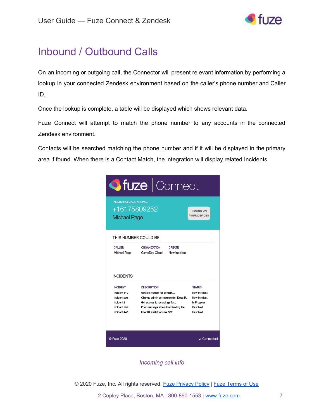

# <span id="page-7-0"></span>Inbound / Outbound Calls

On an incoming or outgoing call, the Connector will present relevant information by performing a lookup in your connected Zendesk environment based on the caller's phone number and Caller ID.

Once the lookup is complete, a table will be displayed which shows relevant data.

Fuze Connect will attempt to match the phone number to any accounts in the connected Zendesk environment.

Contacts will be searched matching the phone number and if it will be displayed in the primary area if found. When there is a Contact Match, the integration will display related Incidents



*Incoming call info*

© 2020 Fuze, Inc. All rights reserved. Fuze [Privacy](https://www.fuze.com/fuze-privacy-policy) Policy | Fuze [Terms](https://www.fuze.com/legal) of Use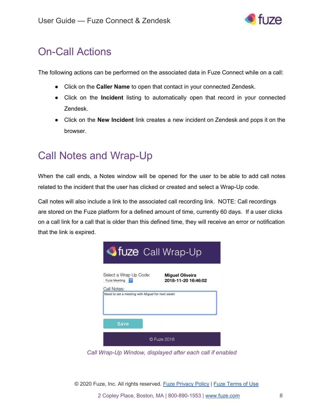

# <span id="page-8-0"></span>On-Call Actions

The following actions can be performed on the associated data in Fuze Connect while on a call:

- Click on the **Caller Name** to open that contact in your connected Zendesk.
- Click on the **Incident** listing to automatically open that record in your connected Zendesk.
- Click on the **New Incident** link creates a new incident on Zendesk and pops it on the browser.

# <span id="page-8-1"></span>Call Notes and Wrap-Up

When the call ends, a Notes window will be opened for the user to be able to add call notes related to the incident that the user has clicked or created and select a Wrap-Up code.

Call notes will also include a link to the associated call recording link. NOTE: Call recordings are stored on the Fuze platform for a defined amount of time, currently 60 days. If a user clicks on a call link for a call that is older than this defined time, they will receive an error or notification that the link is expired.

| <b>Situze</b> Call Wrap-Up                                                                                           |  |  |  |  |  |
|----------------------------------------------------------------------------------------------------------------------|--|--|--|--|--|
| Select a Wrap Up Code:<br><b>Miguel Oliveira</b><br>2018-11-20 16:46:02<br><b>Fuze Meeting</b><br>I O<br>Call Notes: |  |  |  |  |  |
| Need to set a meeting with Miguel for next week!                                                                     |  |  |  |  |  |
| Save                                                                                                                 |  |  |  |  |  |
| © Fuze 2018                                                                                                          |  |  |  |  |  |

*Call Wrap-Up Window, displayed after each call if enabled*

© 2020 Fuze, Inc. All rights reserved. Fuze [Privacy](https://www.fuze.com/fuze-privacy-policy) Policy | Fuze [Terms](https://www.fuze.com/legal) of Use